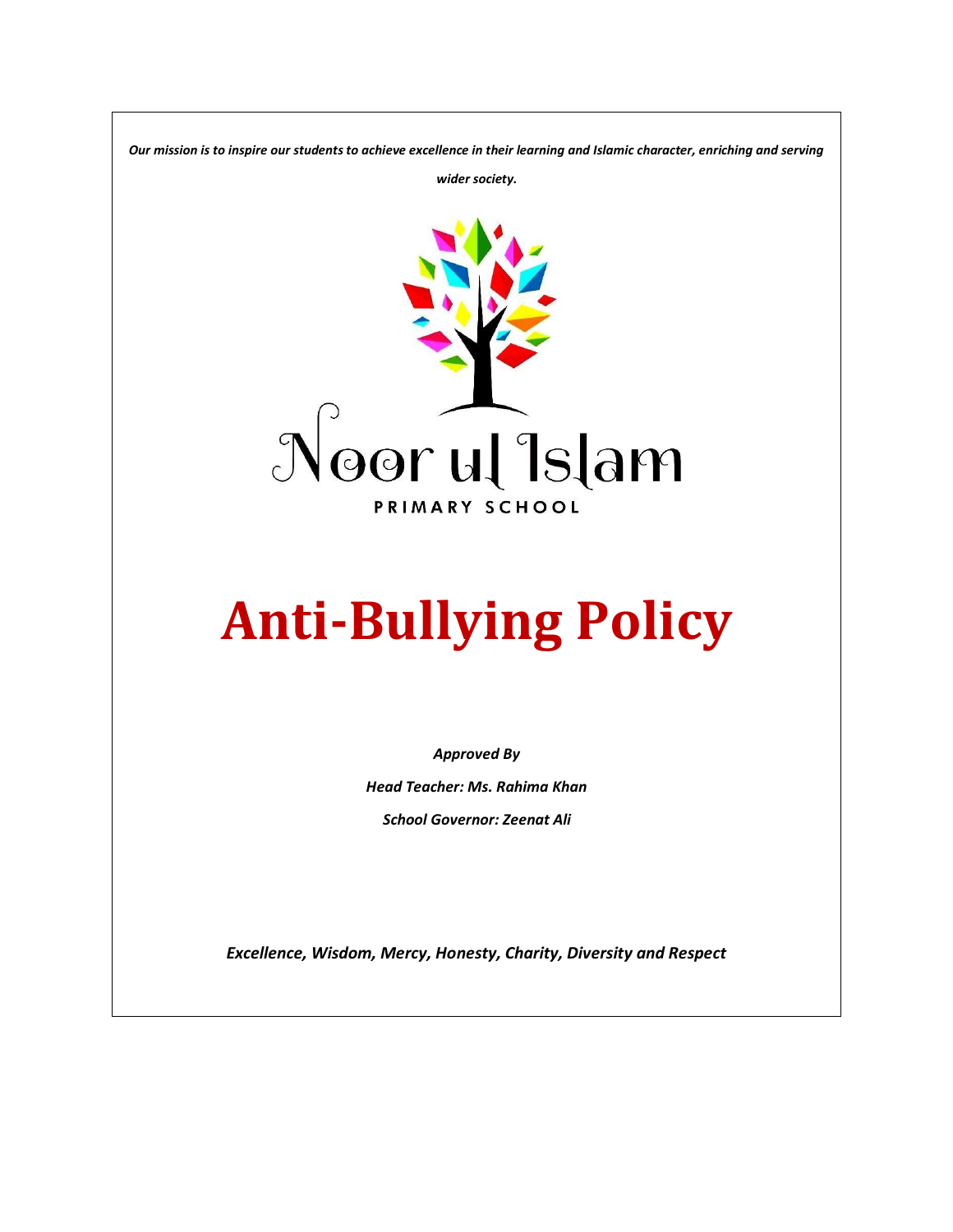*Our mission is to inspire our students to achieve excellence in their learning and Islamic character, enriching and serving* 

*wider society.*



# **Anti-Bullying Policy**

*Approved By*

*Head Teacher: Ms. Rahima Khan School Governor: Zeenat Ali*

*Excellence, Wisdom, Mercy, Honesty, Charity, Diversity and Respect*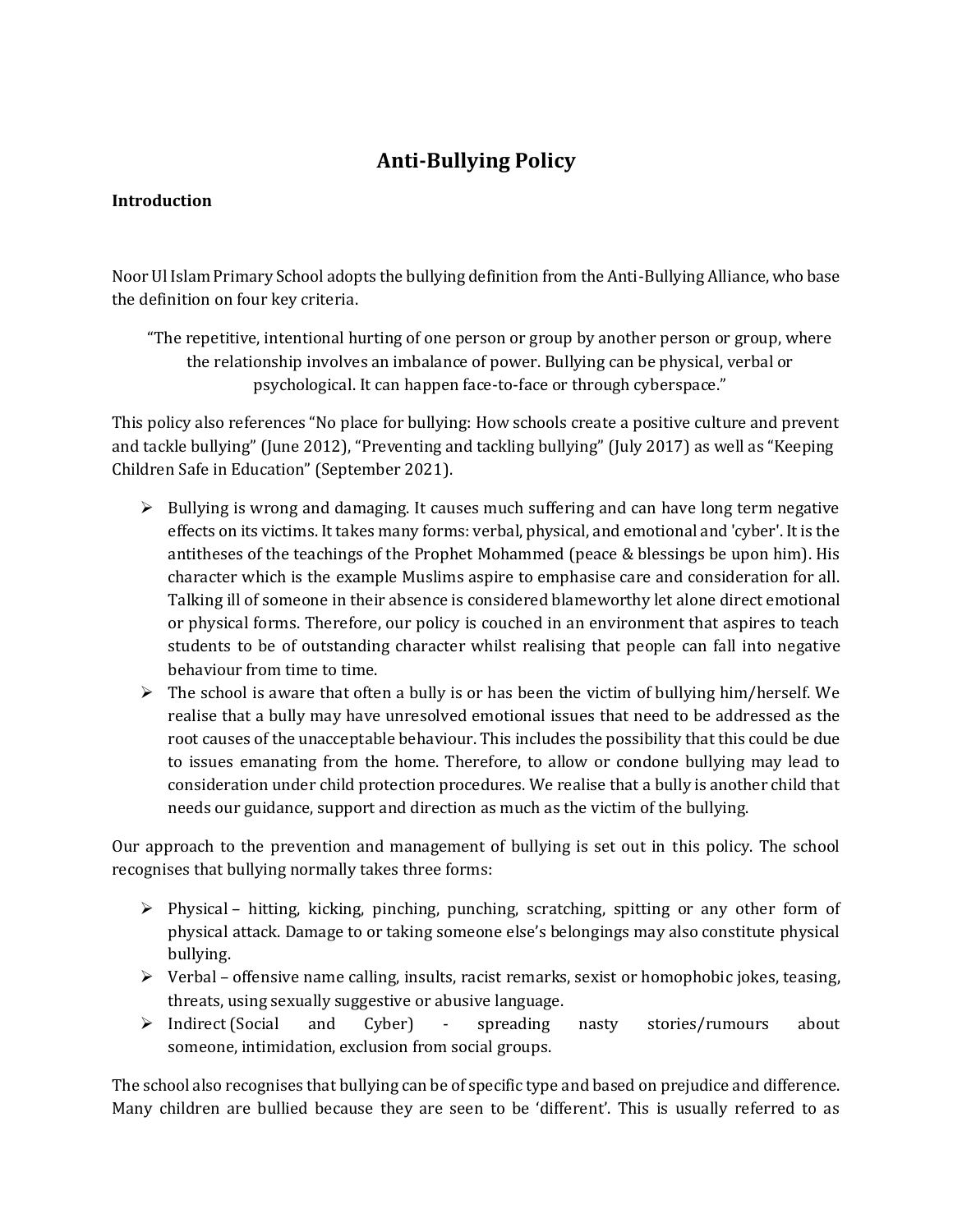# **Anti-Bullying Policy**

# **Introduction**

Noor Ul Islam Primary School adopts the bullying definition from the Anti-Bullying Alliance, who base the definition on four key criteria.

"The repetitive, intentional hurting of one person or group by another person or group, where the relationship involves an imbalance of power. Bullying can be physical, verbal or psychological. It can happen face-to-face or through cyberspace."

This policy also references "No place for bullying: How schools create a positive culture and prevent and tackle bullying" (June 2012), "Preventing and tackling bullying" (July 2017) as well as "Keeping Children Safe in Education" (September 2021).

- $\triangleright$  Bullying is wrong and damaging. It causes much suffering and can have long term negative effects on its victims. It takes many forms: verbal, physical, and emotional and 'cyber'. It is the antitheses of the teachings of the Prophet Mohammed (peace & blessings be upon him). His character which is the example Muslims aspire to emphasise care and consideration for all. Talking ill of someone in their absence is considered blameworthy let alone direct emotional or physical forms. Therefore, our policy is couched in an environment that aspires to teach students to be of outstanding character whilst realising that people can fall into negative behaviour from time to time.
- $\triangleright$  The school is aware that often a bully is or has been the victim of bullying him/herself. We realise that a bully may have unresolved emotional issues that need to be addressed as the root causes of the unacceptable behaviour. This includes the possibility that this could be due to issues emanating from the home. Therefore, to allow or condone bullying may lead to consideration under child protection procedures. We realise that a bully is another child that needs our guidance, support and direction as much as the victim of the bullying.

Our approach to the prevention and management of bullying is set out in this policy. The school recognises that bullying normally takes three forms:

- $\triangleright$  Physical hitting, kicking, pinching, punching, scratching, spitting or any other form of physical attack. Damage to or taking someone else's belongings may also constitute physical bullying.
- $\triangleright$  Verbal offensive name calling, insults, racist remarks, sexist or homophobic jokes, teasing, threats, using sexually suggestive or abusive language.
- ➢ Indirect (Social and Cyber) spreading nasty stories/rumours about someone, intimidation, exclusion from social groups.

The school also recognises that bullying can be of specific type and based on prejudice and difference. Many children are bullied because they are seen to be 'different'. This is usually referred to as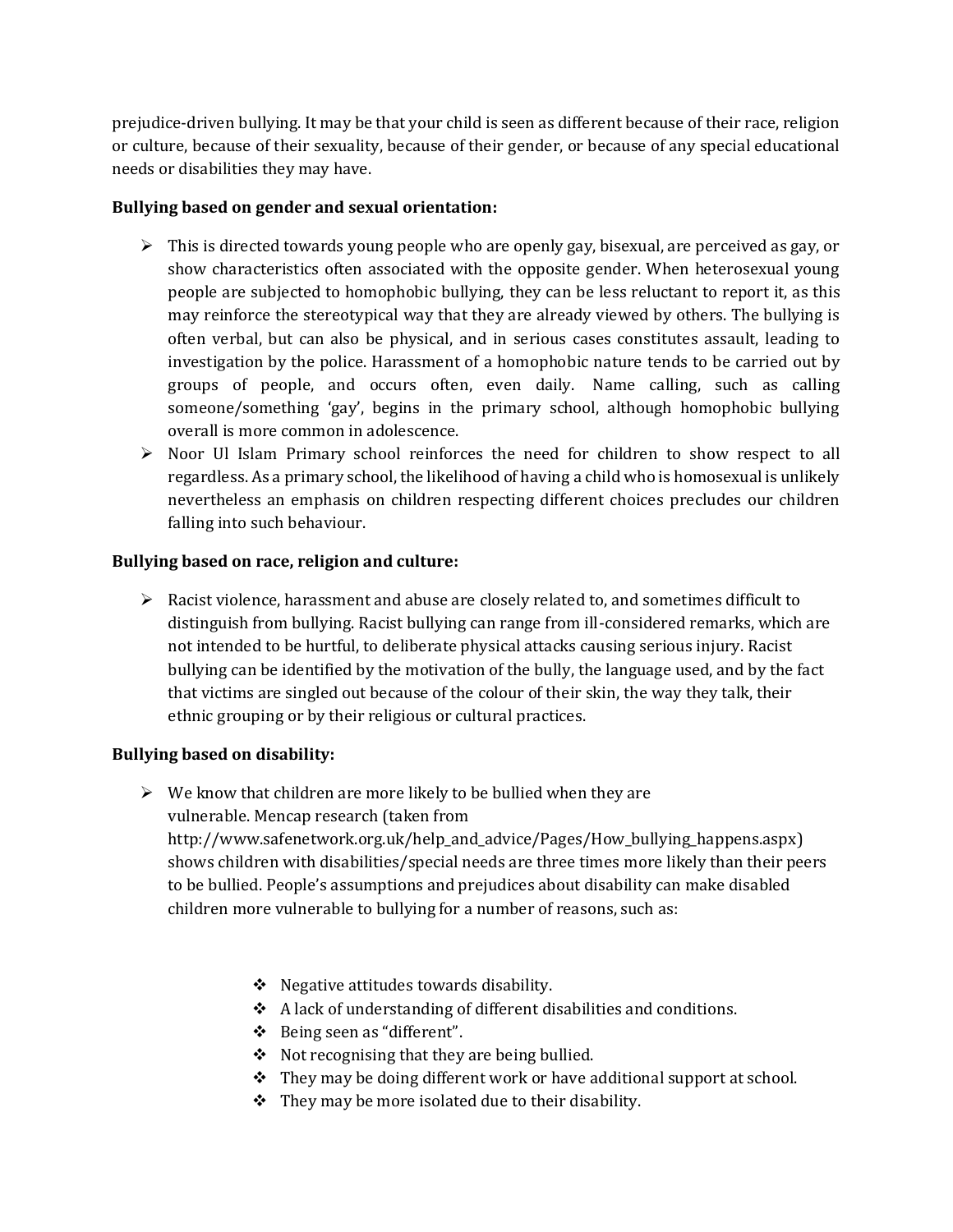prejudice-driven bullying. It may be that your child is seen as different because of their race, religion or culture, because of their sexuality, because of their gender, or because of any special educational needs or disabilities they may have.

#### **Bullying based on gender and sexual orientation:**

- $\triangleright$  This is directed towards young people who are openly gay, bisexual, are perceived as gay, or show characteristics often associated with the opposite gender. When heterosexual young people are subjected to homophobic bullying, they can be less reluctant to report it, as this may reinforce the stereotypical way that they are already viewed by others. The bullying is often verbal, but can also be physical, and in serious cases constitutes assault, leading to investigation by the police. Harassment of a homophobic nature tends to be carried out by groups of people, and occurs often, even daily. Name calling, such as calling someone/something 'gay', begins in the primary school, although homophobic bullying overall is more common in adolescence.
- ➢ Noor Ul Islam Primary school reinforces the need for children to show respect to all regardless. As a primary school, the likelihood of having a child who is homosexual is unlikely nevertheless an emphasis on children respecting different choices precludes our children falling into such behaviour.

# **Bullying based on race, religion and culture:**

 $\triangleright$  Racist violence, harassment and abuse are closely related to, and sometimes difficult to distinguish from bullying. Racist bullying can range from ill-considered remarks, which are not intended to be hurtful, to deliberate physical attacks causing serious injury. Racist bullying can be identified by the motivation of the bully, the language used, and by the fact that victims are singled out because of the colour of their skin, the way they talk, their ethnic grouping or by their religious or cultural practices.

#### **Bullying based on disability:**

 $\triangleright$  We know that children are more likely to be bullied when they are vulnerable. [Mencap](http://www.mencap.org.uk/keepsafe) research (taken from

[http://www.safenetwork.org.uk/help\\_and\\_advice/Pages/How\\_bullying\\_happens.aspx\)](http://www.safenetwork.org.uk/help_and_advice/Pages/How_bullying_happens.aspx) shows children with disabilities/special needs are three times more likely than their peers to be bullied. People's assumptions and prejudices about disability can make disabled children more vulnerable to bullying for a number of reasons, such as:

- ❖ Negative attitudes towards disability.
- ❖ A lack of understanding of different disabilities and conditions.
- ❖ Being seen as "different".
- ❖ Not recognising that they are being bullied.
- ❖ They may be doing different work or have additional support at school.
- $\div$  They may be more isolated due to their disability.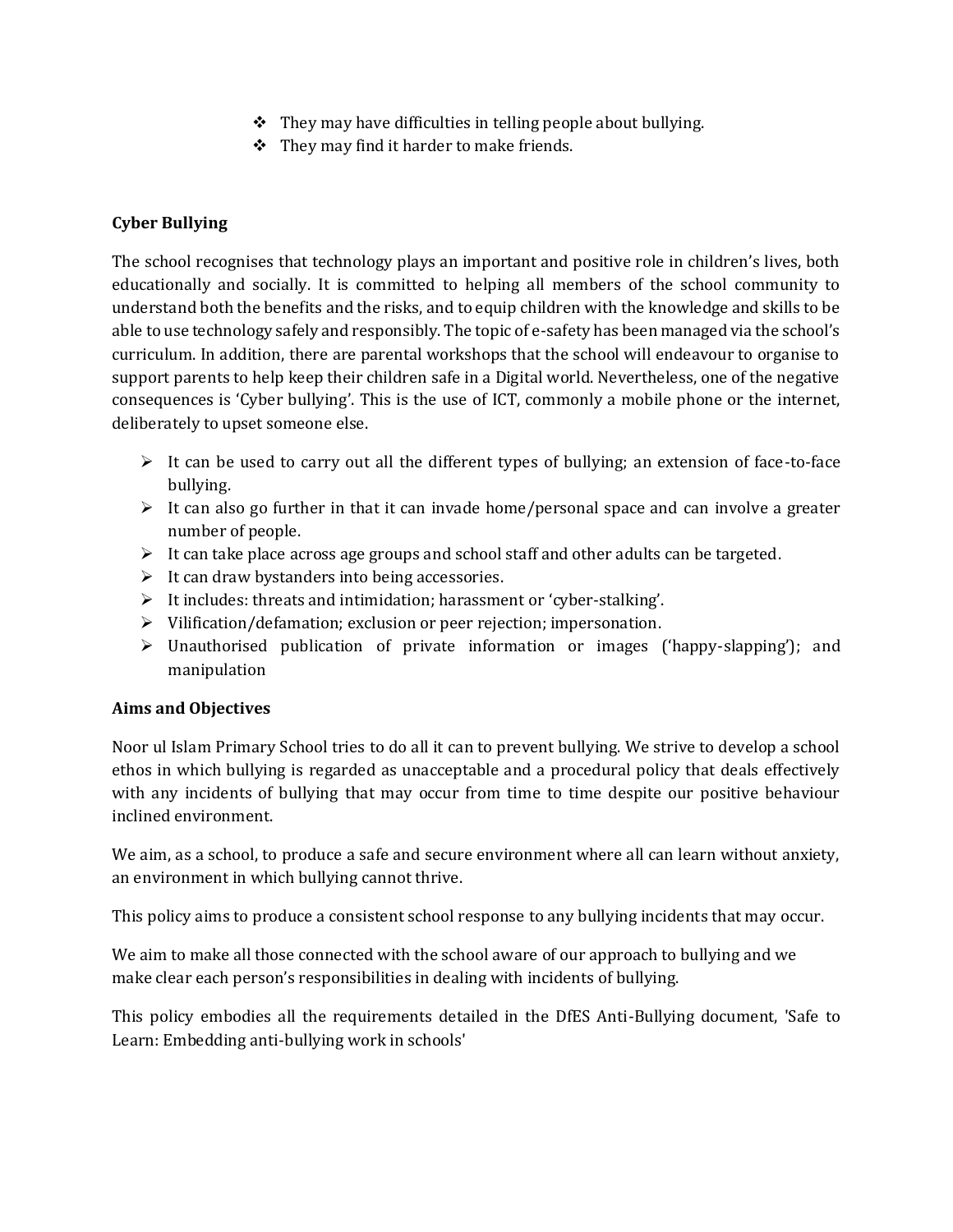- $\div$  They may have difficulties in telling people about bullying.
- ❖ They may find it harder to make friends.

# **Cyber Bullying**

The school recognises that technology plays an important and positive role in children's lives, both educationally and socially. It is committed to helping all members of the school community to understand both the benefits and the risks, and to equip children with the knowledge and skills to be able to use technology safely and responsibly. The topic of e-safety has been managed via the school's curriculum. In addition, there are parental workshops that the school will endeavour to organise to support parents to help keep their children safe in a Digital world. Nevertheless, one of the negative consequences is 'Cyber bullying'. This is the use of ICT, commonly a mobile phone or the internet, deliberately to upset someone else.

- ➢ It can be used to carry out all the different types of bullying; an extension of face-to-face bullying.
- $\triangleright$  It can also go further in that it can invade home/personal space and can involve a greater number of people.
- $\triangleright$  It can take place across age groups and school staff and other adults can be targeted.
- $\triangleright$  It can draw bystanders into being accessories.
- ➢ It includes: threats and intimidation; harassment or 'cyber-stalking'.
- ➢ Vilification/defamation; exclusion or peer rejection; impersonation.
- ➢ Unauthorised publication of private information or images ('happy-slapping'); and manipulation

#### **Aims and Objectives**

Noor ul Islam Primary School tries to do all it can to prevent bullying. We strive to develop a school ethos in which bullying is regarded as unacceptable and a procedural policy that deals effectively with any incidents of bullying that may occur from time to time despite our positive behaviour inclined environment.

We aim, as a school, to produce a safe and secure environment where all can learn without anxiety, an environment in which bullying cannot thrive.

This policy aims to produce a consistent school response to any bullying incidents that may occur.

We aim to make all those connected with the school aware of our approach to bullying and we make clear each person's responsibilities in dealing with incidents of bullying.

This policy embodies all the requirements detailed in the DfES Anti-Bullying document, 'Safe to Learn: Embedding anti-bullying work in schools'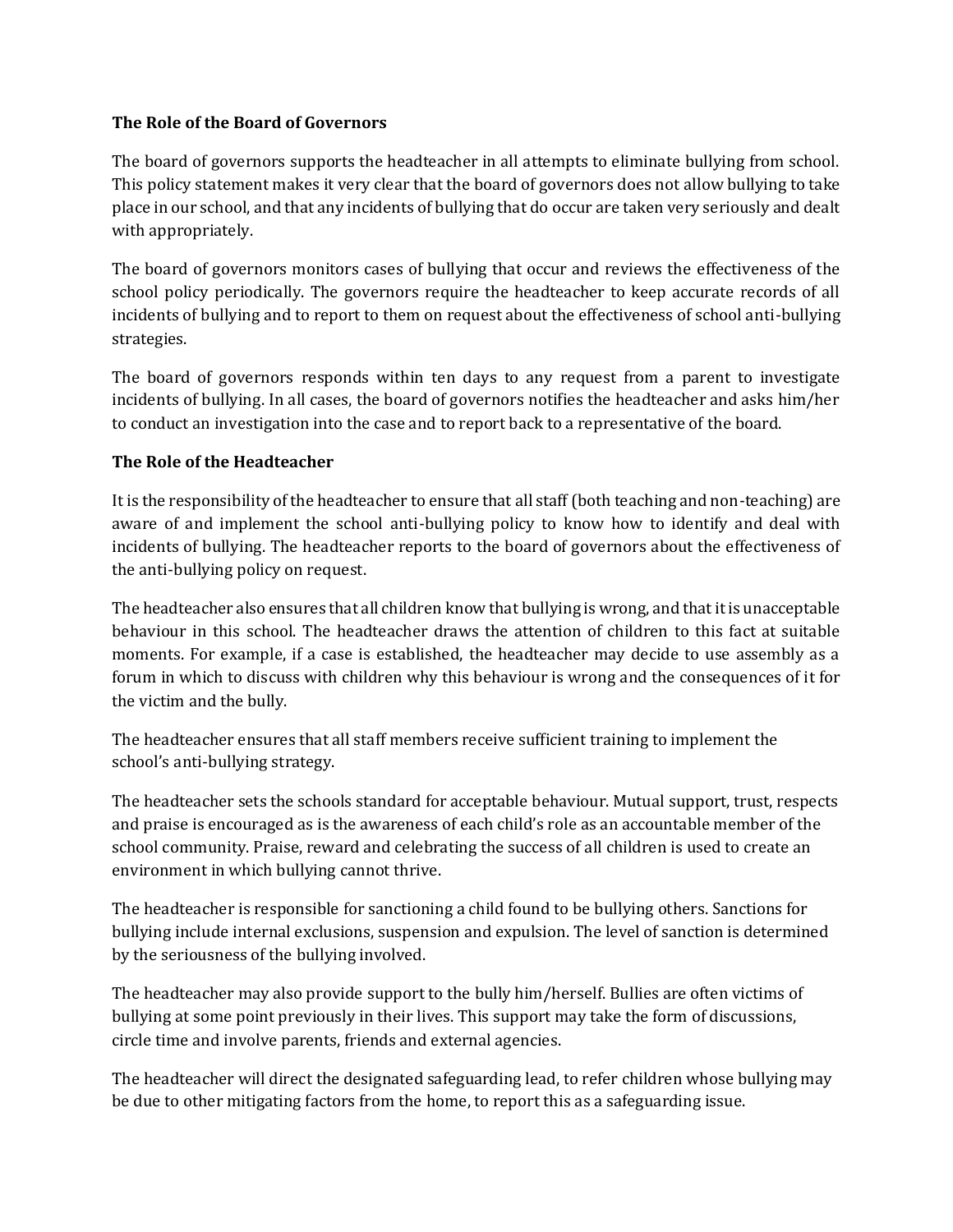#### **The Role of the Board of Governors**

The board of governors supports the headteacher in all attempts to eliminate bullying from school. This policy statement makes it very clear that the board of governors does not allow bullying to take place in our school, and that any incidents of bullying that do occur are taken very seriously and dealt with appropriately.

The board of governors monitors cases of bullying that occur and reviews the effectiveness of the school policy periodically. The governors require the headteacher to keep accurate records of all incidents of bullying and to report to them on request about the effectiveness of school anti-bullying strategies.

The board of governors responds within ten days to any request from a parent to investigate incidents of bullying. In all cases, the board of governors notifies the headteacher and asks him/her to conduct an investigation into the case and to report back to a representative of the board.

# **The Role of the Headteacher**

It is the responsibility of the headteacher to ensure that all staff (both teaching and non-teaching) are aware of and implement the school anti-bullying policy to know how to identify and deal with incidents of bullying. The headteacher reports to the board of governors about the effectiveness of the anti-bullying policy on request.

The headteacher also ensures that all children know that bullying is wrong, and that it is unacceptable behaviour in this school. The headteacher draws the attention of children to this fact at suitable moments. For example, if a case is established, the headteacher may decide to use assembly as a forum in which to discuss with children why this behaviour is wrong and the consequences of it for the victim and the bully.

The headteacher ensures that all staff members receive sufficient training to implement the school's anti-bullying strategy.

The headteacher sets the schools standard for acceptable behaviour. Mutual support, trust, respects and praise is encouraged as is the awareness of each child's role as an accountable member of the school community. Praise, reward and celebrating the success of all children is used to create an environment in which bullying cannot thrive.

The headteacher is responsible for sanctioning a child found to be bullying others. Sanctions for bullying include internal exclusions, suspension and expulsion. The level of sanction is determined by the seriousness of the bullying involved.

The headteacher may also provide support to the bully him/herself. Bullies are often victims of bullying at some point previously in their lives. This support may take the form of discussions, circle time and involve parents, friends and external agencies.

The headteacher will direct the designated safeguarding lead, to refer children whose bullying may be due to other mitigating factors from the home, to report this as a safeguarding issue.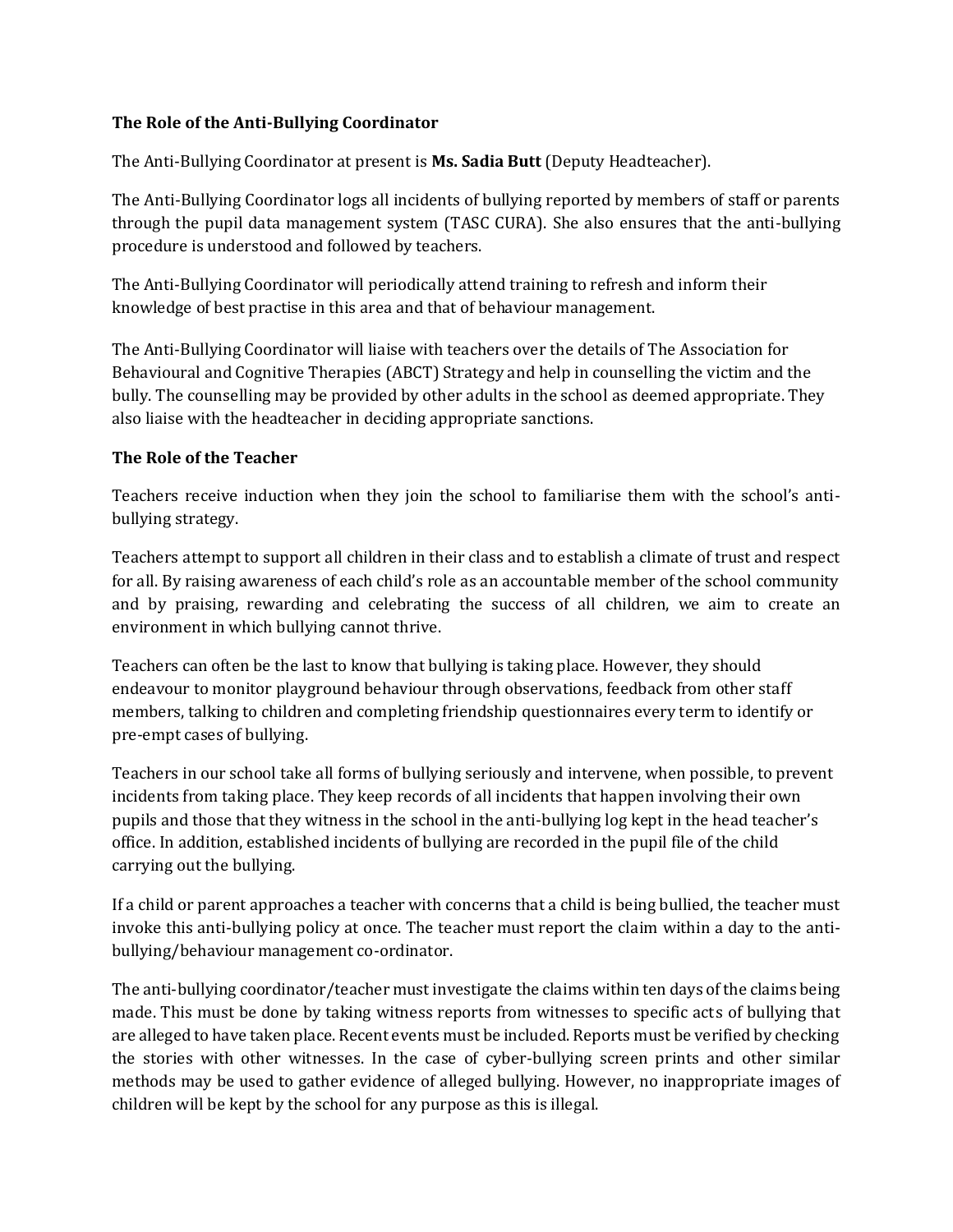#### **The Role of the Anti-Bullying Coordinator**

The Anti-Bullying Coordinator at present is **Ms. Sadia Butt** (Deputy Headteacher).

The Anti-Bullying Coordinator logs all incidents of bullying reported by members of staff or parents through the pupil data management system (TASC CURA). She also ensures that the anti-bullying procedure is understood and followed by teachers.

The Anti-Bullying Coordinator will periodically attend training to refresh and inform their knowledge of best practise in this area and that of behaviour management.

The Anti-Bullying Coordinator will liaise with teachers over the details of The Association for Behavioural and Cognitive Therapies (ABCT) Strategy and help in counselling the victim and the bully. The counselling may be provided by other adults in the school as deemed appropriate. They also liaise with the headteacher in deciding appropriate sanctions.

# **The Role of the Teacher**

Teachers receive induction when they join the school to familiarise them with the school's antibullying strategy.

Teachers attempt to support all children in their class and to establish a climate of trust and respect for all. By raising awareness of each child's role as an accountable member of the school community and by praising, rewarding and celebrating the success of all children, we aim to create an environment in which bullying cannot thrive.

Teachers can often be the last to know that bullying is taking place. However, they should endeavour to monitor playground behaviour through observations, feedback from other staff members, talking to children and completing friendship questionnaires every term to identify or pre-empt cases of bullying.

Teachers in our school take all forms of bullying seriously and intervene, when possible, to prevent incidents from taking place. They keep records of all incidents that happen involving their own pupils and those that they witness in the school in the anti-bullying log kept in the head teacher's office. In addition, established incidents of bullying are recorded in the pupil file of the child carrying out the bullying.

If a child or parent approaches a teacher with concerns that a child is being bullied, the teacher must invoke this anti-bullying policy at once. The teacher must report the claim within a day to the antibullying/behaviour management co-ordinator.

The anti-bullying coordinator/teacher must investigate the claims within ten days of the claims being made. This must be done by taking witness reports from witnesses to specific acts of bullying that are alleged to have taken place. Recent events must be included. Reports must be verified by checking the stories with other witnesses. In the case of cyber-bullying screen prints and other similar methods may be used to gather evidence of alleged bullying. However, no inappropriate images of children will be kept by the school for any purpose as this is illegal.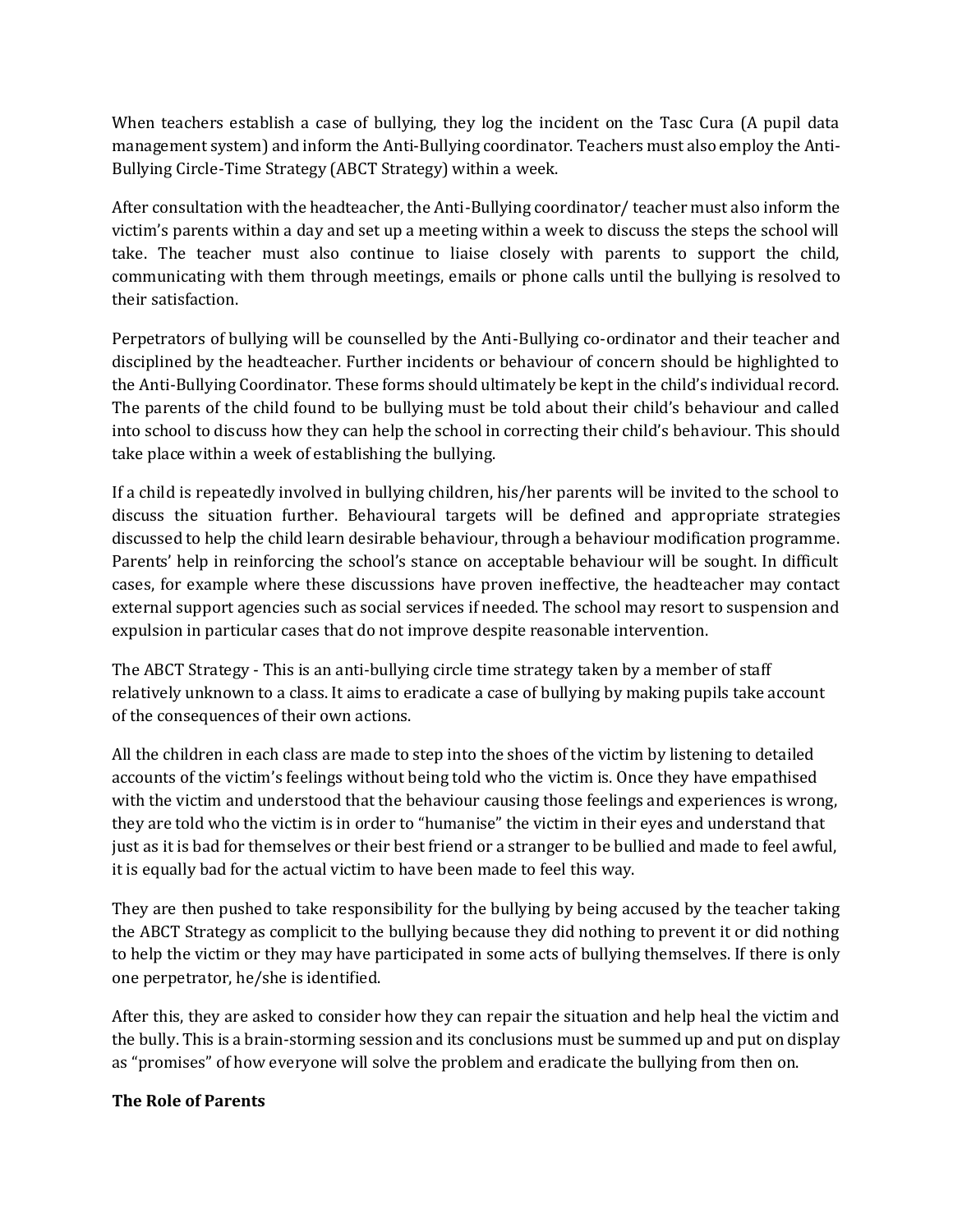When teachers establish a case of bullying, they log the incident on the Tasc Cura (A pupil data management system) and inform the Anti-Bullying coordinator. Teachers must also employ the Anti-Bullying Circle-Time Strategy (ABCT Strategy) within a week.

After consultation with the headteacher, the Anti-Bullying coordinator/ teacher must also inform the victim's parents within a day and set up a meeting within a week to discuss the steps the school will take. The teacher must also continue to liaise closely with parents to support the child, communicating with them through meetings, emails or phone calls until the bullying is resolved to their satisfaction.

Perpetrators of bullying will be counselled by the Anti-Bullying co-ordinator and their teacher and disciplined by the headteacher. Further incidents or behaviour of concern should be highlighted to the Anti-Bullying Coordinator. These forms should ultimately be kept in the child's individual record. The parents of the child found to be bullying must be told about their child's behaviour and called into school to discuss how they can help the school in correcting their child's behaviour. This should take place within a week of establishing the bullying.

If a child is repeatedly involved in bullying children, his/her parents will be invited to the school to discuss the situation further. Behavioural targets will be defined and appropriate strategies discussed to help the child learn desirable behaviour, through a behaviour modification programme. Parents' help in reinforcing the school's stance on acceptable behaviour will be sought. In difficult cases, for example where these discussions have proven ineffective, the headteacher may contact external support agencies such as social services if needed. The school may resort to suspension and expulsion in particular cases that do not improve despite reasonable intervention.

The ABCT Strategy - This is an anti-bullying circle time strategy taken by a member of staff relatively unknown to a class. It aims to eradicate a case of bullying by making pupils take account of the consequences of their own actions.

All the children in each class are made to step into the shoes of the victim by listening to detailed accounts of the victim's feelings without being told who the victim is. Once they have empathised with the victim and understood that the behaviour causing those feelings and experiences is wrong, they are told who the victim is in order to "humanise" the victim in their eyes and understand that just as it is bad for themselves or their best friend or a stranger to be bullied and made to feel awful, it is equally bad for the actual victim to have been made to feel this way.

They are then pushed to take responsibility for the bullying by being accused by the teacher taking the ABCT Strategy as complicit to the bullying because they did nothing to prevent it or did nothing to help the victim or they may have participated in some acts of bullying themselves. If there is only one perpetrator, he/she is identified.

After this, they are asked to consider how they can repair the situation and help heal the victim and the bully. This is a brain-storming session and its conclusions must be summed up and put on display as "promises" of how everyone will solve the problem and eradicate the bullying from then on.

#### **The Role of Parents**